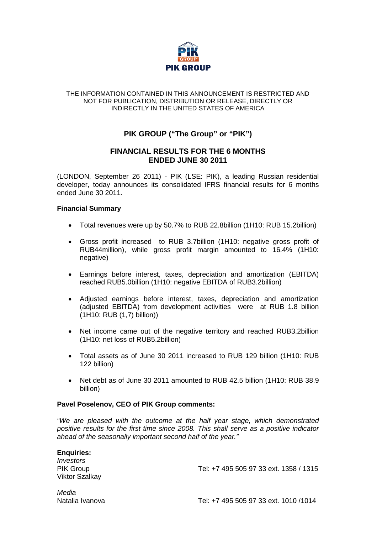

#### THE INFORMATION CONTAINED IN THIS ANNOUNCEMENT IS RESTRICTED AND NOT FOR PUBLICATION, DISTRIBUTION OR RELEASE, DIRECTLY OR INDIRECTLY IN THE UNITED STATES OF AMERICA

## **PIK GROUP ("The Group" or "PIK")**

## **FINANCIAL RESULTS FOR THE 6 MONTHS ENDED JUNE 30 2011**

(LONDON, September 26 2011) - PIK (LSE: PIK), a leading Russian residential developer, today announces its consolidated IFRS financial results for 6 months ended June 30 2011.

## **Financial Summary**

- Total revenues were up by 50.7% to RUB 22.8billion (1H10: RUB 15.2billion)
- Gross profit increased to RUB 3.7billion (1H10: negative gross profit of RUB44million), while gross profit margin amounted to 16.4% (1H10: negative)
- Earnings before interest, taxes, depreciation and amortization (EBITDA) reached RUB5.0billion (1H10: negative EBITDA of RUB3.2billion)
- Adjusted earnings before interest, taxes, depreciation and amortization (adjusted EBITDA) from development activities were at RUB 1.8 billion (1H10: RUB (1,7) billion))
- Net income came out of the negative territory and reached RUB3.2billion (1H10: net loss of RUB5.2billion)
- Total assets as of June 30 2011 increased to RUB 129 billion (1H10: RUB 122 billion)
- Net debt as of June 30 2011 amounted to RUB 42.5 billion (1H10: RUB 38.9 billion)

## **Pavel Poselenov, CEO of PIK Group comments:**

*"We are pleased with the outcome at the half year stage, which demonstrated positive results for the first time since 2008. This shall serve as a positive indicator ahead of the seasonally important second half of the year."* 

# **Enquiries:** *Investors* Viktor Szalkay

PIK Group Tel: +7 495 505 97 33 ext. 1358 / 1315

*Media*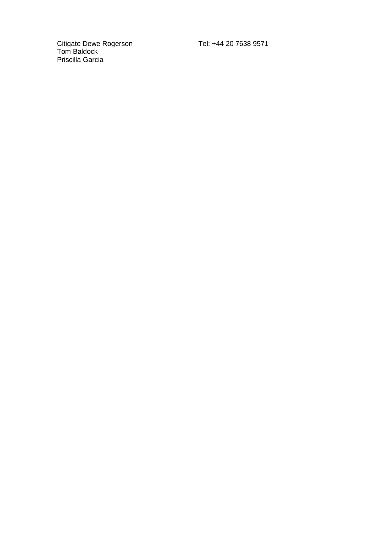Citigate Dewe Rogerson Tel: +44 20 7638 9571 Tom Baldock Priscilla Garcia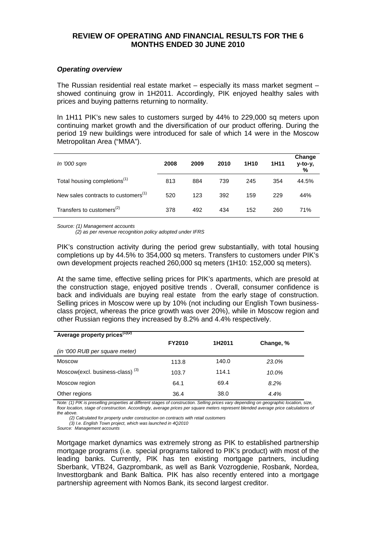## **REVIEW OF OPERATING AND FINANCIAL RESULTS FOR THE 6 MONTHS ENDED 30 JUNE 2010**

#### *Operating overview*

The Russian residential real estate market – especially its mass market segment – showed continuing grow in 1H2011. Accordingly, PIK enjoyed healthy sales with prices and buying patterns returning to normality.

In 1H11 PIK's new sales to customers surged by 44% to 229,000 sq meters upon continuing market growth and the diversification of our product offering. During the period 19 new buildings were introduced for sale of which 14 were in the Moscow Metropolitan Area ("MMA").

| In '000 sqm                                     | 2008 | 2009 | 2010 | 1H <sub>10</sub> | 1H11 | Change<br>y-to-y,<br>% |
|-------------------------------------------------|------|------|------|------------------|------|------------------------|
| Total housing completions <sup>(1)</sup>        | 813  | 884  | 739  | 245              | 354  | 44.5%                  |
| New sales contracts to customers <sup>(1)</sup> | 520  | 123  | 392  | 159              | 229  | 44%                    |
| Transfers to customers <sup>(2)</sup>           | 378  | 492  | 434  | 152              | 260  | 71%                    |

*Source: (1) Management accounts* 

 *(2) as per revenue recognition policy adopted under IFRS*

PIK's construction activity during the period grew substantially, with total housing completions up by 44.5% to 354,000 sq meters. Transfers to customers under PIK's own development projects reached 260,000 sq meters (1H10: 152,000 sq meters).

At the same time, effective selling prices for PIK's apartments, which are presold at the construction stage, enjoyed positive trends . Overall, consumer confidence is back and individuals are buying real estate from the early stage of construction. Selling prices in Moscow were up by 10% (not including our English Town businessclass project, whereas the price growth was over 20%), while in Moscow region and other Russian regions they increased by 8.2% and 4.4% respectively.

| Average property prices <sup>(1)(2)</sup>   |               |        |           |
|---------------------------------------------|---------------|--------|-----------|
|                                             | <b>FY2010</b> | 1H2011 | Change, % |
| (in '000 RUB per square meter)              |               |        |           |
| Moscow                                      | 113.8         | 140.0  | 23.0%     |
| Moscow(excl. business-class) <sup>(3)</sup> | 103.7         | 114.1  | 10.0%     |
| Moscow region                               | 64.1          | 69.4   | 8.2%      |
| Other regions                               | 36.4          | 38.0   | 4.4%      |

*Note: (1) PIK is preselling properties at different stages of construction. Selling prices vary depending on geographic location, size,*  floor location, stage of construction. Accordingly, average prices per square meters represent blended average price calculations of *the above.* 

 *(2) Calculated for property under construction on contracts with retail customers*

 *(3) I.e. English Town project, which was launched in 4Q2010*

*Source: Management accounts*

Mortgage market dynamics was extremely strong as PIK to established partnership mortgage programs (i.e. special programs tailored to PIK's product) with most of the leading banks. Currently, PIK has ten existing mortgage partners, including Sberbank, VTB24, Gazprombank, as well as Bank Vozrogdenie, Rosbank, Nordea, Investtorgbank and Bank Baltica. PIK has also recently entered into a mortgage partnership agreement with Nomos Bank, its second largest creditor.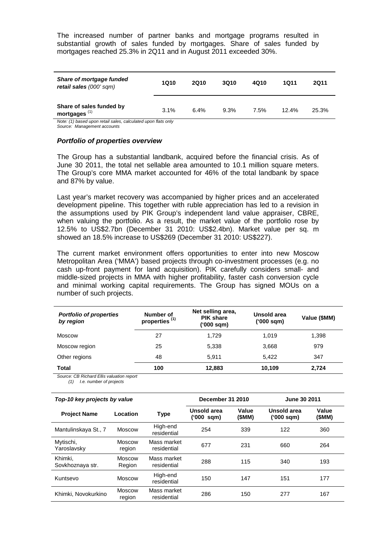The increased number of partner banks and mortgage programs resulted in substantial growth of sales funded by mortgages. Share of sales funded by mortgages reached 25.3% in 2Q11 and in August 2011 exceeded 30%.

| Share of mortgage funded<br>retail sales (000' sqm)                                                             | 1Q10    | 2Q10 | <b>3Q10</b> | 4010 | 1011     | 2Q11  |
|-----------------------------------------------------------------------------------------------------------------|---------|------|-------------|------|----------|-------|
| Share of sales funded by<br>mortgages $(1)$<br>Aleter (4) because we are also because the discovery flate and c | $3.1\%$ | 6.4% | 9.3%        | 7.5% | $12.4\%$ | 25.3% |

*Note: (1) based upon retail sales, calculated upon flats only*

*Source: Management accounts*

#### *Portfolio of properties overview*

The Group has a substantial landbank, acquired before the financial crisis. As of June 30 2011, the total net sellable area amounted to 10.1 million square meters. The Group's core MMA market accounted for 46% of the total landbank by space and 87% by value.

Last year's market recovery was accompanied by higher prices and an accelerated development pipeline. This together with ruble appreciation has led to a revision in the assumptions used by PIK Group's independent land value appraiser, CBRE, when valuing the portfolio. As a result, the market value of the portfolio rose by 12.5% to US\$2.7bn (December 31 2010: US\$2.4bn). Market value per sq. m showed an 18.5% increase to US\$269 (December 31 2010: US\$227).

The current market environment offers opportunities to enter into new Moscow Metropolitan Area ('MMA') based projects through co-investment processes (e.g. no cash up-front payment for land acquisition). PIK carefully considers small- and middle-sized projects in MMA with higher profitability, faster cash conversion cycle and minimal working capital requirements. The Group has signed MOUs on a number of such projects.

| <b>Portfolio of properties</b><br>by region       | Number of<br>properties <sup>(1)</sup> | Net selling area,<br><b>PIK share</b><br>('000 sqm) | Unsold area<br>('000 sqm) | Value (\$MM) |
|---------------------------------------------------|----------------------------------------|-----------------------------------------------------|---------------------------|--------------|
| <b>Moscow</b>                                     | 27                                     | 1.729                                               | 1.019                     | 1,398        |
| Moscow region                                     | 25                                     | 5,338                                               | 3,668                     | 979          |
| Other regions                                     | 48                                     | 5.911                                               | 5.422                     | 347          |
| <b>Total</b><br>-----<br>$\cdot$ $ \cdot$ $\cdot$ | 100                                    | 12,883                                              | 10,109                    | 2,724        |

*Source: CB Richard Ellis valuation report*

*(1) I.e. number of projects*

| Top-10 key projects by value |                         | December 31 2010           |                           | June 30 2011    |                           |                 |
|------------------------------|-------------------------|----------------------------|---------------------------|-----------------|---------------------------|-----------------|
| <b>Project Name</b>          | Location                | <b>Type</b>                | Unsold area<br>('000 sqm) | Value<br>(\$MM) | Unsold area<br>('000 sqm) | Value<br>(\$MM) |
| Mantulinskaya St., 7         | <b>Moscow</b>           | High-end<br>residential    | 254                       | 339             | 122                       | 360             |
| Mytischi,<br>Yaroslavsky     | Moscow<br>region        | Mass market<br>residential | 677                       | 231             | 660                       | 264             |
| Khimki.<br>Sovkhoznaya str.  | Moscow<br>Region        | Mass market<br>residential | 288                       | 115             | 340                       | 193             |
| Kuntsevo                     | <b>Moscow</b>           | High-end<br>residential    | 150                       | 147             | 151                       | 177             |
| Khimki, Novokurkino          | <b>Moscow</b><br>region | Mass market<br>residential | 286                       | 150             | 277                       | 167             |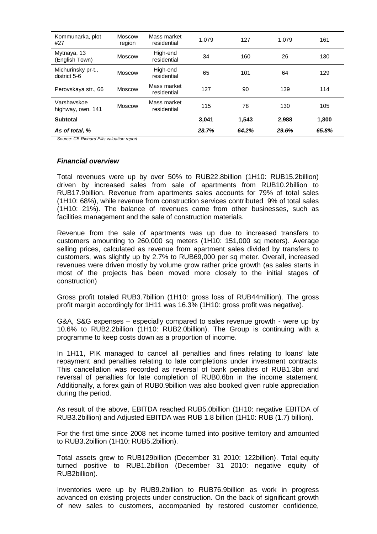| Kommunarka, plot<br>#27            | <b>Moscow</b><br>region | Mass market<br>residential | 1.079 | 127   | 1.079 | 161   |
|------------------------------------|-------------------------|----------------------------|-------|-------|-------|-------|
| Mytnaya, 13<br>(English Town)      | <b>Moscow</b>           | High-end<br>residential    | 34    | 160   | 26    | 130   |
| Michurinsky pr-t.,<br>district 5-6 | Moscow                  | High-end<br>residential    | 65    | 101   | 64    | 129   |
| Perovskaya str., 66                | <b>Moscow</b>           | Mass market<br>residential | 127   | 90    | 139   | 114   |
| Varshavskoe<br>highway, own. 141   | <b>Moscow</b>           | Mass market<br>residential | 115   | 78    | 130   | 105   |
| <b>Subtotal</b>                    |                         |                            | 3.041 | 1.543 | 2.988 | 1,800 |
| As of total, %                     |                         |                            | 28.7% | 64.2% | 29.6% | 65.8% |

*Source: CB Richard Ellis valuation report*

#### *Financial overview*

Total revenues were up by over 50% to RUB22.8billion (1H10: RUB15.2billion) driven by increased sales from sale of apartments from RUB10.2billion to RUB17.9billion. Revenue from apartments sales accounts for 79% of total sales (1H10: 68%), while revenue from construction services contributed 9% of total sales (1H10: 21%). The balance of revenues came from other businesses, such as facilities management and the sale of construction materials.

Revenue from the sale of apartments was up due to increased transfers to customers amounting to 260,000 sq meters (1H10: 151,000 sq meters). Average selling prices, calculated as revenue from apartment sales divided by transfers to customers, was slightly up by 2.7% to RUB69,000 per sq meter. Overall, increased revenues were driven mostly by volume grow rather price growth (as sales starts in most of the projects has been moved more closely to the initial stages of construction)

Gross profit totaled RUB3.7billion (1H10: gross loss of RUB44million). The gross profit margin accordingly for 1H11 was 16.3% (1H10: gross profit was negative).

G&A, S&G expenses – especially compared to sales revenue growth - were up by 10.6% to RUB2.2billion (1H10: RUB2.0billion). The Group is continuing with a programme to keep costs down as a proportion of income.

In 1H11, PIK managed to cancel all penalties and fines relating to loans' late repayment and penalties relating to late completions under investment contracts. This cancellation was recorded as reversal of bank penalties of RUB1.3bn and reversal of penalties for late completion of RUB0.6bn in the income statement. Additionally, a forex gain of RUB0.9billion was also booked given ruble appreciation during the period.

As result of the above, EBITDA reached RUB5.0billion (1H10: negative EBITDA of RUB3.2billion) and Adjusted EBITDA was RUB 1.8 billion (1H10: RUB (1.7) billion).

For the first time since 2008 net income turned into positive territory and amounted to RUB3.2billion (1H10: RUB5.2billion).

Total assets grew to RUB129billion (December 31 2010: 122billion). Total equity turned positive to RUB1.2billion (December 31 2010: negative equity of RUB2billion).

Inventories were up by RUB9.2billion to RUB76.9billion as work in progress advanced on existing projects under construction. On the back of significant growth of new sales to customers, accompanied by restored customer confidence,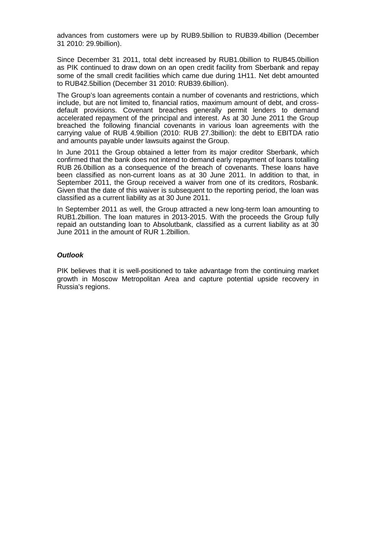advances from customers were up by RUB9.5billion to RUB39.4billion (December 31 2010: 29.9billion).

Since December 31 2011, total debt increased by RUB1.0billion to RUB45.0billion as PIK continued to draw down on an open credit facility from Sberbank and repay some of the small credit facilities which came due during 1H11. Net debt amounted to RUB42.5billion (December 31 2010: RUB39.6billion).

The Group's loan agreements contain a number of covenants and restrictions, which include, but are not limited to, financial ratios, maximum amount of debt, and crossdefault provisions. Covenant breaches generally permit lenders to demand accelerated repayment of the principal and interest. As at 30 June 2011 the Group breached the following financial covenants in various loan agreements with the carrying value of RUB 4.9billion (2010: RUB 27.3billion): the debt to EBITDA ratio and amounts payable under lawsuits against the Group.

In June 2011 the Group obtained a letter from its major creditor Sberbank, which confirmed that the bank does not intend to demand early repayment of loans totalling RUB 26.0billion as a consequence of the breach of covenants. These loans have been classified as non-current loans as at 30 June 2011. In addition to that, in September 2011, the Group received a waiver from one of its creditors, Rosbank. Given that the date of this waiver is subsequent to the reporting period, the loan was classified as a current liability as at 30 June 2011.

In September 2011 as well, the Group attracted a new long-term loan amounting to RUB1.2billion. The loan matures in 2013-2015. With the proceeds the Group fully repaid an outstanding loan to Absolutbank, classified as a current liability as at 30 June 2011 in the amount of RUR 1.2billion.

### *Outlook*

PIK believes that it is well-positioned to take advantage from the continuing market growth in Moscow Metropolitan Area and capture potential upside recovery in Russia's regions.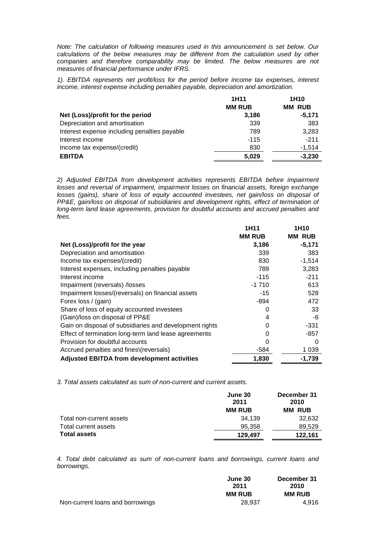*Note: The calculation of following measures used in this announcement is set below. Our calculations of the below measures may be different from the calculation used by other companies and therefore comparability may be limited. The below measures are not measures of financial performance under IFRS.* 

*1). EBITDA represents net profit/loss for the period before income tax expenses, interest income, interest expense including penalties payable, depreciation and amortization.*

|                                              | 1H11          | 1H <sub>10</sub> |
|----------------------------------------------|---------------|------------------|
|                                              | <b>MM RUB</b> | <b>MM RUB</b>    |
| Net (Loss)/profit for the period             | 3,186         | $-5,171$         |
| Depreciation and amortisation                | 339           | 383              |
| Interest expense including penalties payable | 789           | 3,283            |
| Interest income                              | $-115$        | $-211$           |
| Income tax expense/(credit)                  | 830           | $-1,514$         |
| <b>EBITDA</b>                                | 5,029         | $-3,230$         |

*2) Adjusted EBITDA from development activities represents EBITDA before impairment losses and reversal of impairment, impairment losses on financial assets, foreign exchange* losses (gains), share of loss of equity accounted investees, net gain/loss on disposal of *PP&E, gain/loss on disposal of subsidiaries and development rights, effect of termination of long-term land lease agreements, provision for doubtful accounts and accrued penalties and fees.*

|                                                         | 1H11          | 1H10          |
|---------------------------------------------------------|---------------|---------------|
|                                                         | <b>MM RUB</b> | <b>MM RUB</b> |
| Net (Loss)/profit for the year                          | 3,186         | $-5,171$      |
| Depreciation and amortisation                           | 339           | 383           |
| Income tax expenses/(credit)                            | 830           | $-1,514$      |
| Interest expenses, including penalties payable          | 789           | 3,283         |
| Interest income                                         | $-115$        | $-211$        |
| Impairment (reversals) /losses                          | $-1710$       | 613           |
| Impairment losses/(reversals) on financial assets       | $-15$         | 528           |
| Forex loss / (gain)                                     | $-894$        | 472           |
| Share of loss of equity accounted investees             | O             | 33            |
| (Gain)/loss on disposal of PP&E                         | 4             | -6            |
| Gain on disposal of subsidiaries and development rights | 0             | $-331$        |
| Effect of termination long-term land lease agreements   |               | $-857$        |
| Provision for doubtful accounts                         |               | 0             |
| Accrued penalties and fines\(reversals)                 | -584          | 1 0 3 9       |
| <b>Adjusted EBITDA from development activities</b>      | 1,830         | $-1,739$      |

*3. Total assets calculated as sum of non-current and current assets.*

|                          | June 30<br>2011 | December 31<br>2010 |
|--------------------------|-----------------|---------------------|
|                          | <b>MM RUB</b>   | <b>MM RUB</b>       |
| Total non-current assets | 34.139          | 32,632              |
| Total current assets     | 95.358          | 89.529              |
| <b>Total assets</b>      | 129.497         | 122.161             |

*4. Total debt calculated as sum of non-current loans and borrowings, current loans and borrowings.*

|                                  | June 30       | December 31   |
|----------------------------------|---------------|---------------|
|                                  | 2011          | 2010          |
|                                  | <b>MM RUB</b> | <b>MM RUB</b> |
| Non-current loans and borrowings | 28,937        | 4.916         |